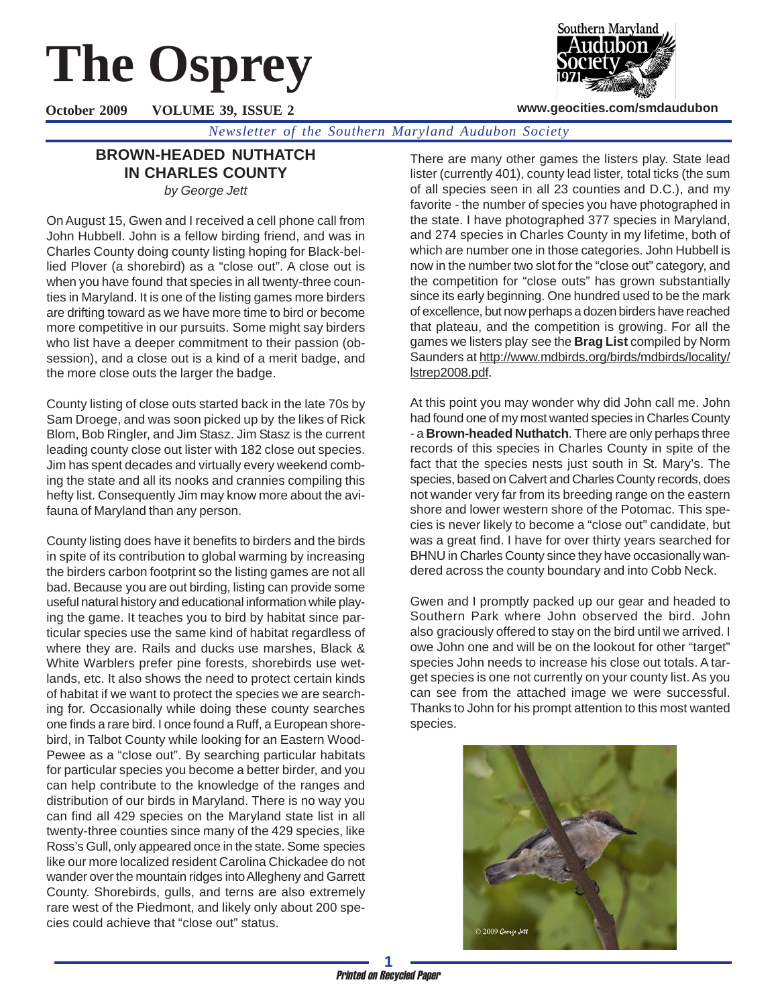# **The Osprey**

Southern Maryland

**www.geocities.com/smdaudubon**

**October 2009 VOLUME 39, ISSUE 2**

*Newsletter of the Southern Maryland Audubon Society*

## **BROWN-HEADED NUTHATCH IN CHARLES COUNTY** *by George Jett*

On August 15, Gwen and I received a cell phone call from John Hubbell. John is a fellow birding friend, and was in Charles County doing county listing hoping for Black-bellied Plover (a shorebird) as a "close out". A close out is when you have found that species in all twenty-three counties in Maryland. It is one of the listing games more birders are drifting toward as we have more time to bird or become more competitive in our pursuits. Some might say birders who list have a deeper commitment to their passion (obsession), and a close out is a kind of a merit badge, and the more close outs the larger the badge.

County listing of close outs started back in the late 70s by Sam Droege, and was soon picked up by the likes of Rick Blom, Bob Ringler, and Jim Stasz. Jim Stasz is the current leading county close out lister with 182 close out species. Jim has spent decades and virtually every weekend combing the state and all its nooks and crannies compiling this hefty list. Consequently Jim may know more about the avifauna of Maryland than any person.

County listing does have it benefits to birders and the birds in spite of its contribution to global warming by increasing the birders carbon footprint so the listing games are not all bad. Because you are out birding, listing can provide some useful natural history and educational information while playing the game. It teaches you to bird by habitat since particular species use the same kind of habitat regardless of where they are. Rails and ducks use marshes, Black & White Warblers prefer pine forests, shorebirds use wetlands, etc. It also shows the need to protect certain kinds of habitat if we want to protect the species we are searching for. Occasionally while doing these county searches one finds a rare bird. I once found a Ruff, a European shorebird, in Talbot County while looking for an Eastern Wood-Pewee as a "close out". By searching particular habitats for particular species you become a better birder, and you can help contribute to the knowledge of the ranges and distribution of our birds in Maryland. There is no way you can find all 429 species on the Maryland state list in all twenty-three counties since many of the 429 species, like Ross's Gull, only appeared once in the state. Some species like our more localized resident Carolina Chickadee do not wander over the mountain ridges into Allegheny and Garrett County. Shorebirds, gulls, and terns are also extremely rare west of the Piedmont, and likely only about 200 species could achieve that "close out" status.

There are many other games the listers play. State lead lister (currently 401), county lead lister, total ticks (the sum of all species seen in all 23 counties and D.C.), and my favorite - the number of species you have photographed in the state. I have photographed 377 species in Maryland, and 274 species in Charles County in my lifetime, both of which are number one in those categories. John Hubbell is now in the number two slot for the "close out" category, and the competition for "close outs" has grown substantially since its early beginning. One hundred used to be the mark of excellence, but now perhaps a dozen birders have reached that plateau, and the competition is growing. For all the games we listers play see the **Brag List** compiled by Norm Saunders at http://www.mdbirds.org/birds/mdbirds/locality/ lstrep2008.pdf.

At this point you may wonder why did John call me. John had found one of my most wanted species in Charles County - a **Brown-headed Nuthatch**. There are only perhaps three records of this species in Charles County in spite of the fact that the species nests just south in St. Mary's. The species, based on Calvert and Charles County records, does not wander very far from its breeding range on the eastern shore and lower western shore of the Potomac. This species is never likely to become a "close out" candidate, but was a great find. I have for over thirty years searched for BHNU in Charles County since they have occasionally wandered across the county boundary and into Cobb Neck.

Gwen and I promptly packed up our gear and headed to Southern Park where John observed the bird. John also graciously offered to stay on the bird until we arrived. I owe John one and will be on the lookout for other "target" species John needs to increase his close out totals. A target species is one not currently on your county list. As you can see from the attached image we were successful. Thanks to John for his prompt attention to this most wanted species.

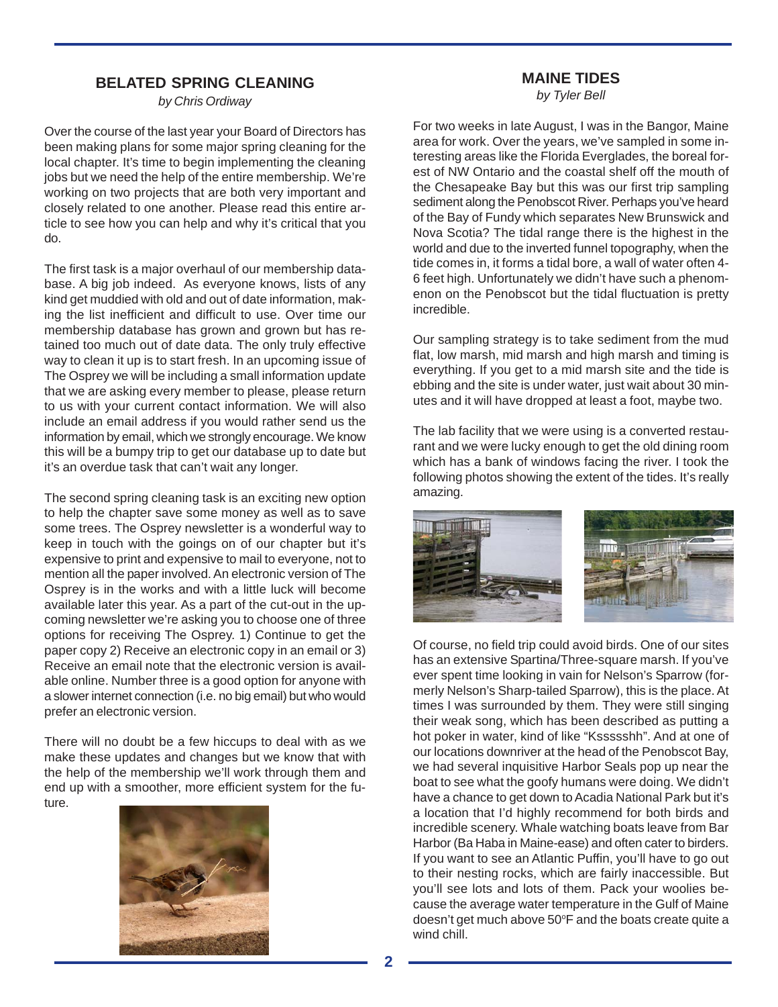### **BELATED SPRING CLEANING**

*by Chris Ordiway*

Over the course of the last year your Board of Directors has been making plans for some major spring cleaning for the local chapter. It's time to begin implementing the cleaning jobs but we need the help of the entire membership. We're working on two projects that are both very important and closely related to one another. Please read this entire article to see how you can help and why it's critical that you do.

The first task is a major overhaul of our membership database. A big job indeed. As everyone knows, lists of any kind get muddied with old and out of date information, making the list inefficient and difficult to use. Over time our membership database has grown and grown but has retained too much out of date data. The only truly effective way to clean it up is to start fresh. In an upcoming issue of The Osprey we will be including a small information update that we are asking every member to please, please return to us with your current contact information. We will also include an email address if you would rather send us the information by email, which we strongly encourage. We know this will be a bumpy trip to get our database up to date but it's an overdue task that can't wait any longer.

The second spring cleaning task is an exciting new option to help the chapter save some money as well as to save some trees. The Osprey newsletter is a wonderful way to keep in touch with the goings on of our chapter but it's expensive to print and expensive to mail to everyone, not to mention all the paper involved. An electronic version of The Osprey is in the works and with a little luck will become available later this year. As a part of the cut-out in the upcoming newsletter we're asking you to choose one of three options for receiving The Osprey. 1) Continue to get the paper copy 2) Receive an electronic copy in an email or 3) Receive an email note that the electronic version is available online. Number three is a good option for anyone with a slower internet connection (i.e. no big email) but who would prefer an electronic version.

There will no doubt be a few hiccups to deal with as we make these updates and changes but we know that with the help of the membership we'll work through them and end up with a smoother, more efficient system for the future.



# **MAINE TIDES**

*by Tyler Bell*

For two weeks in late August, I was in the Bangor, Maine area for work. Over the years, we've sampled in some interesting areas like the Florida Everglades, the boreal forest of NW Ontario and the coastal shelf off the mouth of the Chesapeake Bay but this was our first trip sampling sediment along the Penobscot River. Perhaps you've heard of the Bay of Fundy which separates New Brunswick and Nova Scotia? The tidal range there is the highest in the world and due to the inverted funnel topography, when the tide comes in, it forms a tidal bore, a wall of water often 4- 6 feet high. Unfortunately we didn't have such a phenomenon on the Penobscot but the tidal fluctuation is pretty incredible.

Our sampling strategy is to take sediment from the mud flat, low marsh, mid marsh and high marsh and timing is everything. If you get to a mid marsh site and the tide is ebbing and the site is under water, just wait about 30 minutes and it will have dropped at least a foot, maybe two.

The lab facility that we were using is a converted restaurant and we were lucky enough to get the old dining room which has a bank of windows facing the river. I took the following photos showing the extent of the tides. It's really amazing.



Of course, no field trip could avoid birds. One of our sites has an extensive Spartina/Three-square marsh. If you've ever spent time looking in vain for Nelson's Sparrow (formerly Nelson's Sharp-tailed Sparrow), this is the place. At times I was surrounded by them. They were still singing their weak song, which has been described as putting a hot poker in water, kind of like "Kssssshh". And at one of our locations downriver at the head of the Penobscot Bay, we had several inquisitive Harbor Seals pop up near the boat to see what the goofy humans were doing. We didn't have a chance to get down to Acadia National Park but it's a location that I'd highly recommend for both birds and incredible scenery. Whale watching boats leave from Bar Harbor (Ba Haba in Maine-ease) and often cater to birders. If you want to see an Atlantic Puffin, you'll have to go out to their nesting rocks, which are fairly inaccessible. But you'll see lots and lots of them. Pack your woolies because the average water temperature in the Gulf of Maine doesn't get much above 50°F and the boats create quite a wind chill.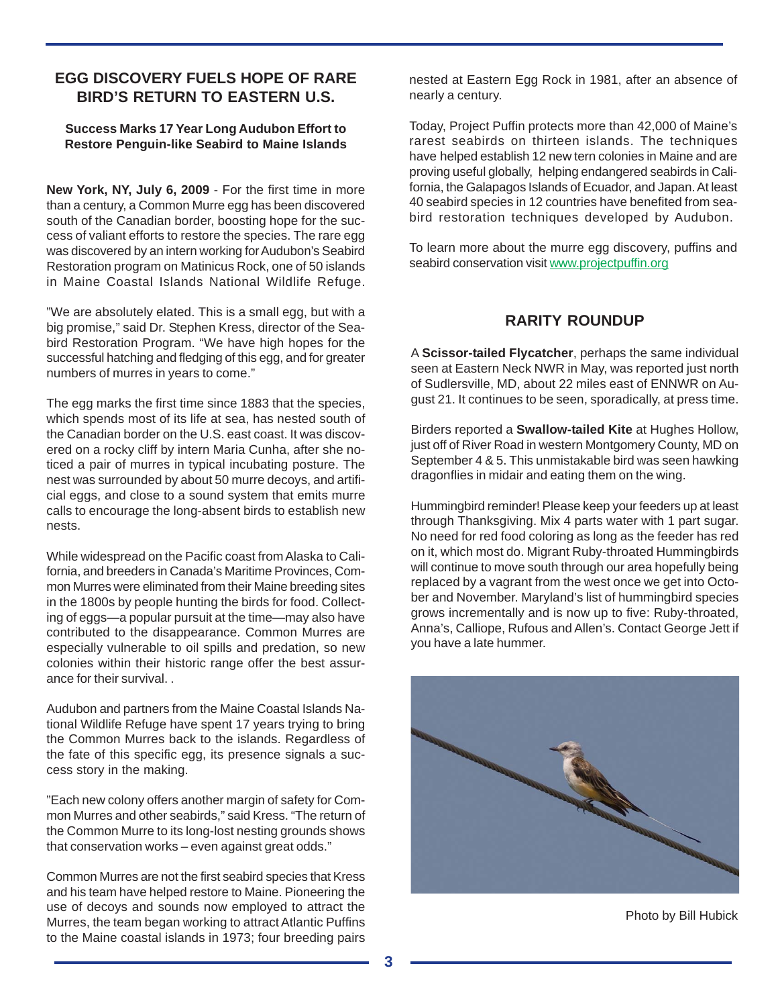## **EGG DISCOVERY FUELS HOPE OF RARE BIRD'S RETURN TO EASTERN U.S.**

#### **Success Marks 17 Year Long Audubon Effort to Restore Penguin-like Seabird to Maine Islands**

**New York, NY, July 6, 2009** - For the first time in more than a century, a Common Murre egg has been discovered south of the Canadian border, boosting hope for the success of valiant efforts to restore the species. The rare egg was discovered by an intern working for Audubon's Seabird Restoration program on Matinicus Rock, one of 50 islands in Maine Coastal Islands National Wildlife Refuge.

"We are absolutely elated. This is a small egg, but with a big promise," said Dr. Stephen Kress, director of the Seabird Restoration Program. "We have high hopes for the successful hatching and fledging of this egg, and for greater numbers of murres in years to come."

The egg marks the first time since 1883 that the species, which spends most of its life at sea, has nested south of the Canadian border on the U.S. east coast. It was discovered on a rocky cliff by intern Maria Cunha, after she noticed a pair of murres in typical incubating posture. The nest was surrounded by about 50 murre decoys, and artificial eggs, and close to a sound system that emits murre calls to encourage the long-absent birds to establish new nests.

While widespread on the Pacific coast from Alaska to California, and breeders in Canada's Maritime Provinces, Common Murres were eliminated from their Maine breeding sites in the 1800s by people hunting the birds for food. Collecting of eggs—a popular pursuit at the time—may also have contributed to the disappearance. Common Murres are especially vulnerable to oil spills and predation, so new colonies within their historic range offer the best assurance for their survival. .

Audubon and partners from the Maine Coastal Islands National Wildlife Refuge have spent 17 years trying to bring the Common Murres back to the islands. Regardless of the fate of this specific egg, its presence signals a success story in the making.

"Each new colony offers another margin of safety for Common Murres and other seabirds," said Kress. "The return of the Common Murre to its long-lost nesting grounds shows that conservation works – even against great odds."

Common Murres are not the first seabird species that Kress and his team have helped restore to Maine. Pioneering the use of decoys and sounds now employed to attract the Murres, the team began working to attract Atlantic Puffins to the Maine coastal islands in 1973; four breeding pairs nested at Eastern Egg Rock in 1981, after an absence of nearly a century.

Today, Project Puffin protects more than 42,000 of Maine's rarest seabirds on thirteen islands. The techniques have helped establish 12 new tern colonies in Maine and are proving useful globally, helping endangered seabirds in California, the Galapagos Islands of Ecuador, and Japan. At least 40 seabird species in 12 countries have benefited from seabird restoration techniques developed by Audubon.

To learn more about the murre egg discovery, puffins and seabird conservation visit www.projectpuffin.org

## **RARITY ROUNDUP**

A **Scissor-tailed Flycatcher**, perhaps the same individual seen at Eastern Neck NWR in May, was reported just north of Sudlersville, MD, about 22 miles east of ENNWR on August 21. It continues to be seen, sporadically, at press time.

Birders reported a **Swallow-tailed Kite** at Hughes Hollow, just off of River Road in western Montgomery County, MD on September 4 & 5. This unmistakable bird was seen hawking dragonflies in midair and eating them on the wing.

Hummingbird reminder! Please keep your feeders up at least through Thanksgiving. Mix 4 parts water with 1 part sugar. No need for red food coloring as long as the feeder has red on it, which most do. Migrant Ruby-throated Hummingbirds will continue to move south through our area hopefully being replaced by a vagrant from the west once we get into October and November. Maryland's list of hummingbird species grows incrementally and is now up to five: Ruby-throated, Anna's, Calliope, Rufous and Allen's. Contact George Jett if you have a late hummer.



Photo by Bill Hubick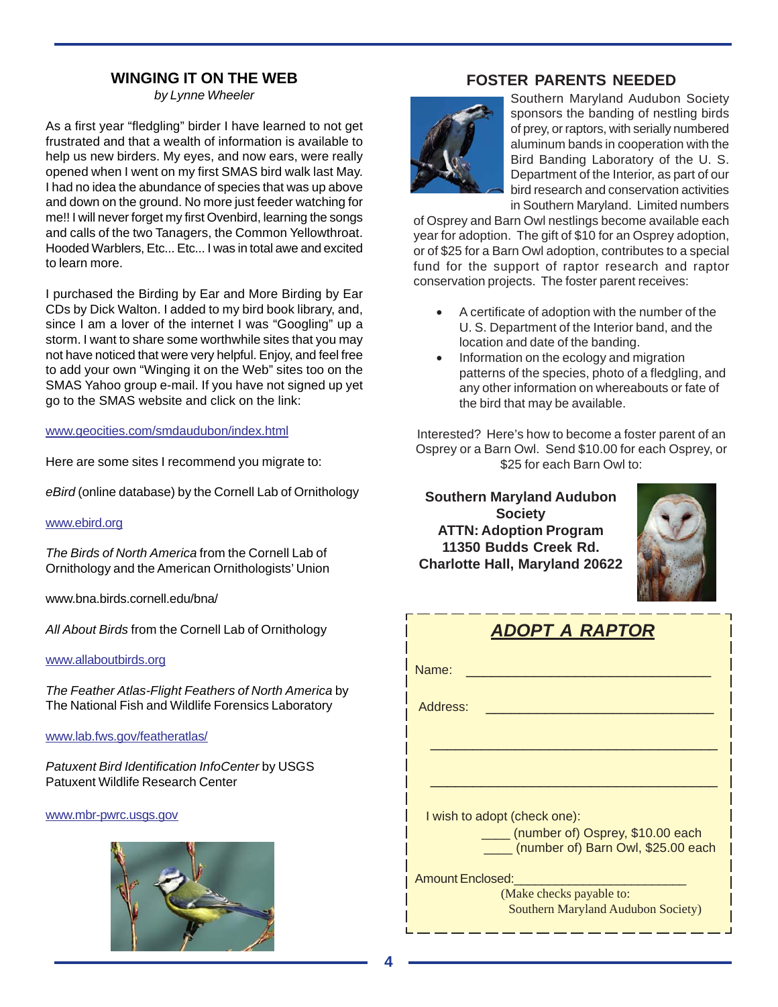# **WINGING IT ON THE WEB**

*by Lynne Wheeler*

As a first year "fledgling" birder I have learned to not get frustrated and that a wealth of information is available to help us new birders. My eyes, and now ears, were really opened when I went on my first SMAS bird walk last May. I had no idea the abundance of species that was up above and down on the ground. No more just feeder watching for me!! I will never forget my first Ovenbird, learning the songs and calls of the two Tanagers, the Common Yellowthroat. Hooded Warblers, Etc... Etc... I was in total awe and excited to learn more.

I purchased the Birding by Ear and More Birding by Ear CDs by Dick Walton. I added to my bird book library, and, since I am a lover of the internet I was "Googling" up a storm. I want to share some worthwhile sites that you may not have noticed that were very helpful. Enjoy, and feel free to add your own "Winging it on the Web" sites too on the SMAS Yahoo group e-mail. If you have not signed up yet go to the SMAS website and click on the link:

#### www.geocities.com/smdaudubon/index.html

Here are some sites I recommend you migrate to:

*eBird* (online database) by the Cornell Lab of Ornithology

#### www.ebird.org

*The Birds of North America* from the Cornell Lab of Ornithology and the American Ornithologists' Union

www.bna.birds.cornell.edu/bna/

*All About Birds* from the Cornell Lab of Ornithology

#### www.allaboutbirds.org

*The Feather Atlas-Flight Feathers of North America* by The National Fish and Wildlife Forensics Laboratory

#### www.lab.fws.gov/featheratlas/

*Patuxent Bird Identification InfoCenter* by USGS Patuxent Wildlife Research Center

#### www.mbr-pwrc.usgs.gov



# **FOSTER PARENTS NEEDED**



Southern Maryland Audubon Society sponsors the banding of nestling birds of prey, or raptors, with serially numbered aluminum bands in cooperation with the Bird Banding Laboratory of the U. S. Department of the Interior, as part of our bird research and conservation activities in Southern Maryland. Limited numbers

of Osprey and Barn Owl nestlings become available each year for adoption. The gift of \$10 for an Osprey adoption, or of \$25 for a Barn Owl adoption, contributes to a special fund for the support of raptor research and raptor conservation projects. The foster parent receives:

- A certificate of adoption with the number of the U. S. Department of the Interior band, and the location and date of the banding.
- Information on the ecology and migration patterns of the species, photo of a fledgling, and any other information on whereabouts or fate of the bird that may be available.

Interested? Here's how to become a foster parent of an Osprey or a Barn Owl. Send \$10.00 for each Osprey, or \$25 for each Barn Owl to:

**Southern Maryland Audubon Society ATTN: Adoption Program 11350 Budds Creek Rd. Charlotte Hall, Maryland 20622**



| ADOPT A RAPTOR                                                         |  |  |  |  |  |
|------------------------------------------------------------------------|--|--|--|--|--|
| Name:                                                                  |  |  |  |  |  |
| Address:                                                               |  |  |  |  |  |
|                                                                        |  |  |  |  |  |
|                                                                        |  |  |  |  |  |
| I wish to adopt (check one):                                           |  |  |  |  |  |
| (number of) Osprey, \$10.00 each<br>(number of) Barn Owl, \$25.00 each |  |  |  |  |  |
| <b>Amount Enclosed:</b>                                                |  |  |  |  |  |
| (Make checks payable to:<br>Southern Maryland Audubon Society)         |  |  |  |  |  |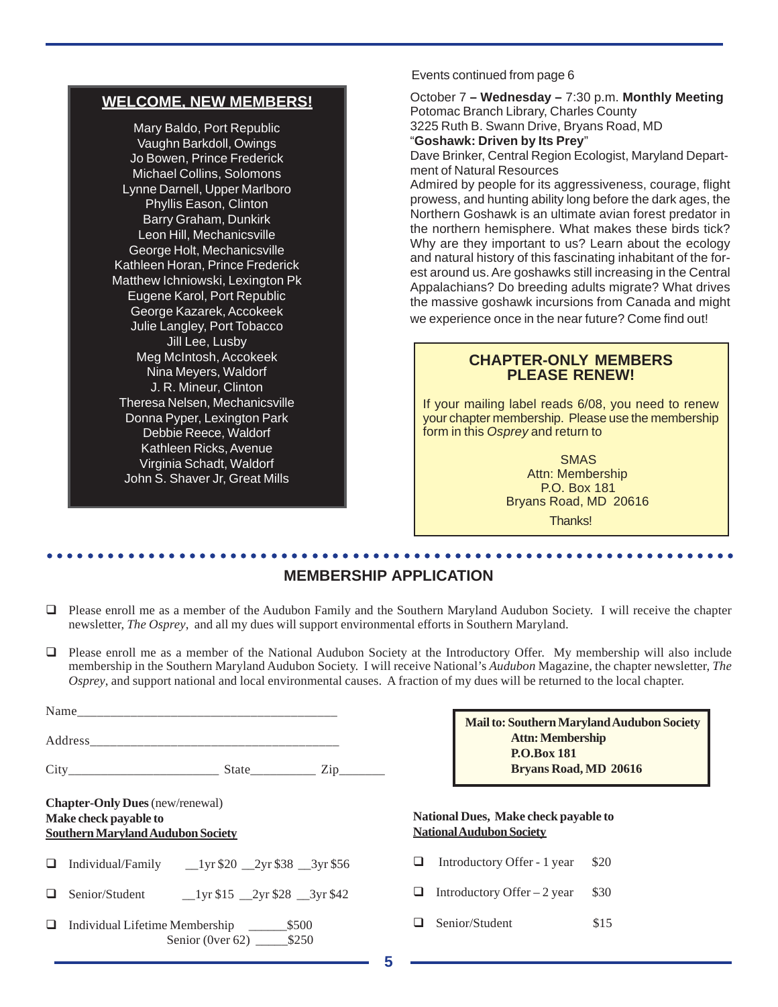## **WELCOME, NEW MEMBERS!**

Mary Baldo, Port Republic Vaughn Barkdoll, Owings Jo Bowen, Prince Frederick Michael Collins, Solomons Lynne Darnell, Upper Marlboro Phyllis Eason, Clinton Barry Graham, Dunkirk Leon Hill, Mechanicsville George Holt, Mechanicsville Kathleen Horan, Prince Frederick Matthew Ichniowski, Lexington Pk Eugene Karol, Port Republic George Kazarek, Accokeek Julie Langley, Port Tobacco Jill Lee, Lusby Meg McIntosh, Accokeek Nina Meyers, Waldorf J. R. Mineur, Clinton Theresa Nelsen, Mechanicsville Donna Pyper, Lexington Park Debbie Reece, Waldorf Kathleen Ricks, Avenue Virginia Schadt, Waldorf John S. Shaver Jr, Great Mills

Events continued from page 6

October 7 **– Wednesday –** 7:30 p.m. **Monthly Meeting** Potomac Branch Library, Charles County 3225 Ruth B. Swann Drive, Bryans Road, MD "**Goshawk: Driven by Its Prey**" Dave Brinker, Central Region Ecologist, Maryland Department of Natural Resources Admired by people for its aggressiveness, courage, flight

prowess, and hunting ability long before the dark ages, the Northern Goshawk is an ultimate avian forest predator in the northern hemisphere. What makes these birds tick? Why are they important to us? Learn about the ecology and natural history of this fascinating inhabitant of the forest around us. Are goshawks still increasing in the Central Appalachians? Do breeding adults migrate? What drives the massive goshawk incursions from Canada and might we experience once in the near future? Come find out!

## **CHAPTER-ONLY MEMBERS PLEASE RENEW!**

If your mailing label reads 6/08, you need to renew your chapter membership. Please use the membership form in this *Osprey* and return to

> SMAS Attn: Membership P.O. Box 181 Bryans Road, MD 20616 Thanks!

#### ○○○○○○○○○○○○○○○○○○○○○○○○○○○○○○○○○○○○○○○○○○○○ ○○○○○○○○○○○○○○○○○○○○○○○○ **MEMBERSHIP APPLICATION**

- Please enroll me as a member of the Audubon Family and the Southern Maryland Audubon Society. I will receive the chapter newsletter, *The Osprey*, and all my dues will support environmental efforts in Southern Maryland.
- Please enroll me as a member of the National Audubon Society at the Introductory Offer. My membership will also include membership in the Southern Maryland Audubon Society. I will receive National's *Audubon* Magazine, the chapter newsletter, *The Osprey*, and support national and local environmental causes. A fraction of my dues will be returned to the local chapter.

|   |                                                                                                             | <b>Mail</b> to                                    |
|---|-------------------------------------------------------------------------------------------------------------|---------------------------------------------------|
|   |                                                                                                             |                                                   |
|   | $City$ $City$ $State$ $Zip$ $Zip$                                                                           |                                                   |
|   | <b>Chapter-Only Dues</b> (new/renewal)<br>Make check payable to<br><b>Southern Maryland Audubon Society</b> | <b>National Dues, M</b><br><b>National Audubo</b> |
|   | $\Box$ Individual/Family $\Box$ 1yr \$20 $\Box$ 2yr \$38 $\Box$ 3yr \$56                                    | Introductory                                      |
|   | Senior/Student 1yr \$15 2yr \$28 3yr \$42                                                                   | Introductory                                      |
| ⊔ | Senior (0ver 62) ________ \$250                                                                             | Senior/Stude                                      |

| Mail to: Southern Maryland Audubon Society |  |
|--------------------------------------------|--|
| <b>Attn: Membership</b>                    |  |
| <b>P.O.Box 181</b>                         |  |
| Bryans Road, MD 20616                      |  |

#### **Iake check payable to n** Society

- Offer 1 year \$20
- Offer 2 year  $$30$
- $\Box$  Senior/Student \$15